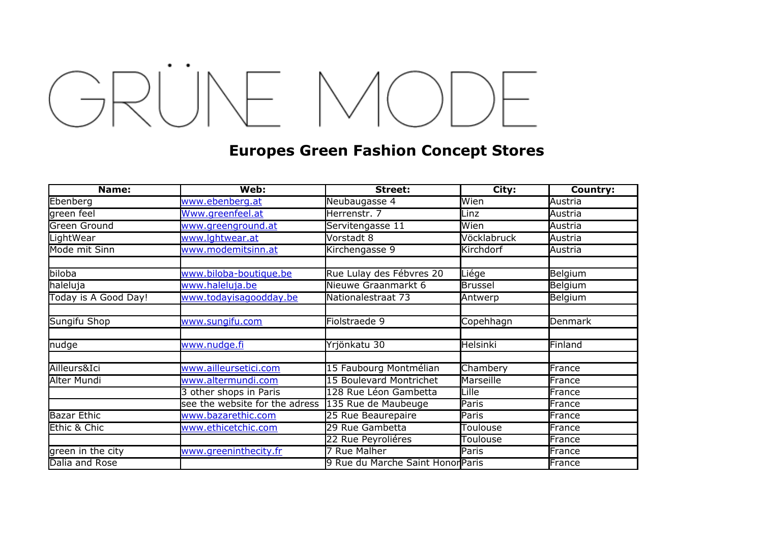## GRÜNE MODE

## **Europes Green Fashion Concept Stores**

| Name:                | Web:                                               | Street:                           | City:           | Country: |
|----------------------|----------------------------------------------------|-----------------------------------|-----------------|----------|
| Ebenberg             | www.ebenberg.at                                    | Neubaugasse 4                     | Wien            | Austria  |
| green feel           | Www.greenfeel.at                                   | Herrenstr. 7                      | Linz            | Austria  |
| <b>Green Ground</b>  | www.greenground.at                                 | Servitengasse 11                  | Wien            | Austria  |
| LightWear            | www.lghtwear.at                                    | Vorstadt 8                        | Vöcklabruck     | Austria  |
| Mode mit Sinn        | www.modemitsinn.at                                 | Kirchengasse 9                    | Kirchdorf       | Austria  |
|                      |                                                    |                                   |                 |          |
| biloba               | www.biloba-boutique.be                             | Rue Lulay des Fébvres 20          | Liége           | Belgium  |
| haleluja             | www.haleluja.be                                    | Nieuwe Graanmarkt 6               | <b>Brussel</b>  | Belgium  |
| Today is A Good Day! | www.todayisagoodday.be                             | Nationalestraat 73                | Antwerp         | Belgium  |
|                      |                                                    |                                   |                 |          |
| Sungifu Shop         | www.sungifu.com                                    | Fiolstraede 9                     | Copehhagn       | Denmark  |
|                      |                                                    |                                   |                 |          |
| nudge                | www.nudge.fi                                       | Yrjönkatu 30                      | Helsinki        | Finland  |
|                      |                                                    |                                   |                 |          |
| Ailleurs&Ici         | www.ailleursetici.com                              | 15 Faubourg Montmélian            | Chambery        | France   |
| Alter Mundi          | www.altermundi.com                                 | 15 Boulevard Montrichet           | Marseille       | France   |
|                      | 3 other shops in Paris                             | 128 Rue Léon Gambetta             | Lille           | France   |
|                      | see the website for the adress 135 Rue de Maubeuge |                                   | Paris           | France   |
| <b>Bazar Ethic</b>   | www.bazarethic.com                                 | 25 Rue Beaurepaire                | Paris           | France   |
| Ethic & Chic         | www.ethicetchic.com                                | 29 Rue Gambetta                   | Toulouse        | France   |
|                      |                                                    | 22 Rue Peyroliéres                | <b>Toulouse</b> | France   |
| green in the city    | www.greeninthecity.fr                              | <b>Rue Malher</b>                 | Paris           | France   |
| Dalia and Rose       |                                                    | 9 Rue du Marche Saint Honor Paris |                 | France   |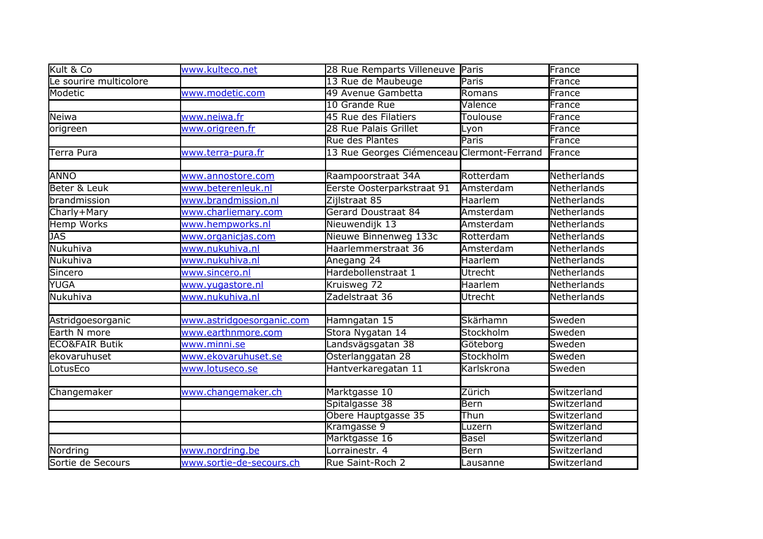| Kult & Co                 | www.kulteco.net           | 28 Rue Remparts Villeneuve Paris           |             | France      |
|---------------------------|---------------------------|--------------------------------------------|-------------|-------------|
| Le sourire multicolore    |                           | 13 Rue de Maubeuge                         | Paris       | France      |
| Modetic                   | www.modetic.com           | 49 Avenue Gambetta                         | Romans      | France      |
|                           |                           | 10 Grande Rue                              | Valence     | France      |
| Neiwa                     | www.neiwa.fr              | 45 Rue des Filatiers                       | Toulouse    | France      |
| origreen                  | www.origreen.fr           | 28 Rue Palais Grillet                      | Lyon        | France      |
|                           |                           | <b>Rue des Plantes</b>                     | Paris       | France      |
| Terra Pura                | www.terra-pura.fr         | 13 Rue Georges Ciémenceau Clermont-Ferrand |             | France      |
|                           |                           |                                            |             |             |
| <b>ANNO</b>               | www.annostore.com         | Raampoorstraat 34A                         | Rotterdam   | Netherlands |
| Beter & Leuk              | www.beterenleuk.nl        | Eerste Oosterparkstraat 91                 | Amsterdam   | Netherlands |
| brandmission              | www.brandmission.nl       | Zijlstraat 85                              | Haarlem     | Netherlands |
| Charly+Mary               | www.charliemary.com       | <b>Gerard Doustraat 84</b>                 | Amsterdam   | Netherlands |
| <b>Hemp Works</b>         | www.hempworks.nl          | Nieuwendijk 13                             | Amsterdam   | Netherlands |
| <b>JAS</b>                | www.organicjas.com        | Nieuwe Binnenweg 133c                      | Rotterdam   | Netherlands |
| Nukuhiva                  | www.nukuhiva.nl           | Haarlemmerstraat 36                        | Amsterdam   | Netherlands |
| Nukuhiva                  | www.nukuhiva.nl           | Anegang 24                                 | Haarlem     | Netherlands |
| Sincero                   | www.sincero.nl            | Hardebollenstraat 1                        | Utrecht     | Netherlands |
| <b>YUGA</b>               | www.yugastore.nl          | Kruisweg 72                                | Haarlem     | Netherlands |
| Nukuhiva                  | www.nukuhiva.nl           | Zadelstraat 36                             | Utrecht     | Netherlands |
|                           |                           |                                            |             |             |
| Astridgoesorganic         | www.astridgoesorganic.com | Hamngatan 15                               | Skärhamn    | Sweden      |
| Earth N more              | www.earthnmore.com        | Stora Nygatan 14                           | Stockholm   | Sweden      |
| <b>ECO&amp;FAIR Butik</b> | <u>www.minni.se</u>       | Landsvägsgatan 38                          | Göteborg    | Sweden      |
| ekovaruhuset              | www.ekovaruhuset.se       | Österlanggatan 28                          | Stockholm   | Sweden      |
| LotusEco                  | www.lotuseco.se           | Hantverkaregatan 11                        | Karlskrona  | Sweden      |
|                           |                           |                                            |             |             |
| Changemaker               | www.changemaker.ch        | Marktgasse 10                              | Zürich      | Switzerland |
|                           |                           | Spitalgasse 38                             | <b>Bern</b> | Switzerland |
|                           |                           | Obere Hauptgasse 35                        | Thun        | Switzerland |
|                           |                           | Kramgasse 9                                | Luzern      | Switzerland |
|                           |                           | Marktgasse 16                              | Basel       | Switzerland |
| Nordring                  | www.nordring.be           | Lorrainestr. 4                             | Bern        | Switzerland |
| Sortie de Secours         | www.sortie-de-secours.ch  | Rue Saint-Roch 2                           | Lausanne    | Switzerland |